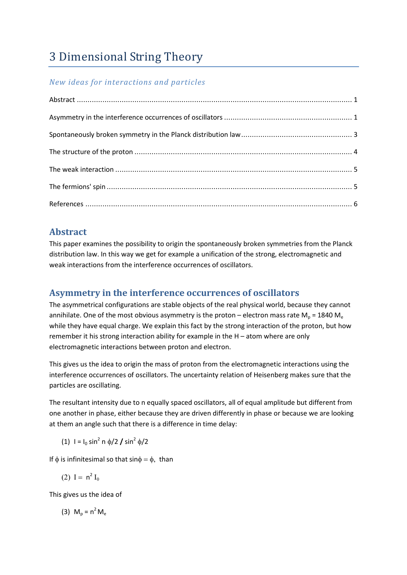# 3 Dimensional String Theory

#### *New ideas for interactions and particles*

### **Abstract**

This paper examines the possibility to origin the spontaneously broken symmetries from the Planck distribution law. In this way we get for example a unification of the strong, electromagnetic and weak interactions from the interference occurrences of oscillators.

# **Asymmetry in the interference occurrences of oscillators**

The asymmetrical configurations are stable objects of the real physical world, because they cannot annihilate. One of the most obvious asymmetry is the proton – electron mass rate  $M_0 = 1840 M_e$ while they have equal charge. We explain this fact by the strong interaction of the proton, but how remember it his strong interaction ability for example in the H – atom where are only electromagnetic interactions between proton and electron.

This gives us the idea to origin the mass of proton from the electromagnetic interactions using the interference occurrences of oscillators. The uncertainty relation of Heisenberg makes sure that the particles are oscillating.

The resultant intensity due to n equally spaced oscillators, all of equal amplitude but different from one another in phase, either because they are driven differently in phase or because we are looking at them an angle such that there is a difference in time delay:

(1)  $I = I_0 \sin^2 n \phi / 2 / \sin^2 \phi / 2$ 

If  $\phi$  is infinitesimal so that sin $\phi = \phi$ , than

$$
(2) I = n2 I0
$$

This gives us the idea of

(3) 
$$
M_p = n^2 M_e
$$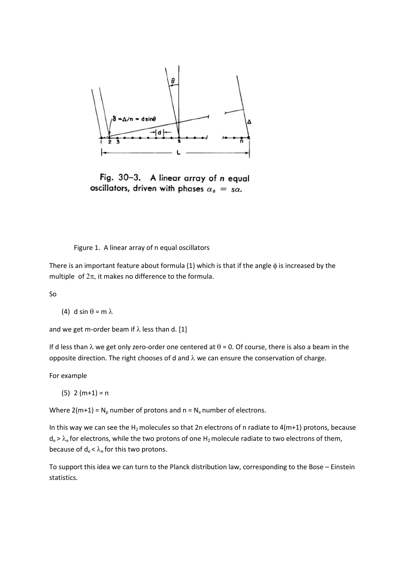

Fig. 30-3. A linear array of n equal oscillators, driven with phases  $\alpha_s = s\alpha$ .

Figure 1. A linear array of n equal oscillators

There is an important feature about formula (1) which is that if the angle  $\phi$  is increased by the multiple of  $2\pi$ , it makes no difference to the formula.

So

(4) d sin  $\theta$  = m  $\lambda$ 

and we get m-order beam if  $\lambda$  less than d. [1]

If d less than  $\lambda$  we get only zero-order one centered at  $\theta$  = 0. Of course, there is also a beam in the opposite direction. The right chooses of d and  $\lambda$  we can ensure the conservation of charge.

For example

 $(5)$  2 (m+1) = n

Where  $2(m+1) = N_p$  number of protons and  $n = N_e$  number of electrons.

In this way we can see the  $H_2$  molecules so that 2n electrons of n radiate to 4(m+1) protons, because  $d_e > \lambda_e$  for electrons, while the two protons of one H<sub>2</sub> molecule radiate to two electrons of them, because of  $d_e < \lambda_e$  for this two protons.

To support this idea we can turn to the Planck distribution law, corresponding to the Bose – Einstein statistics.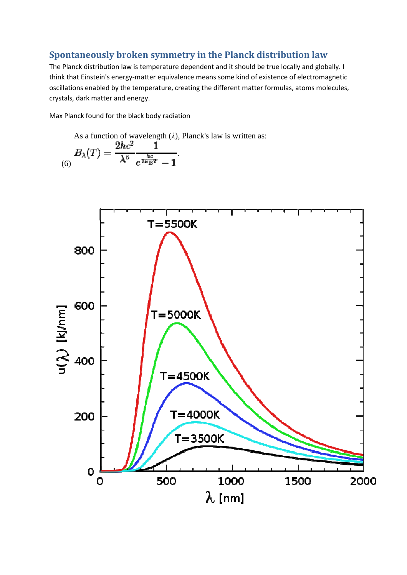#### **Spontaneously broken symmetry in the Planck distribution law**

The Planck distribution law is temperature dependent and it should be true locally and globally. I think that Einstein's energy-matter equivalence means some kind of existence of electromagnetic oscillations enabled by the temperature, creating the different matter formulas, atoms molecules, crystals, dark matter and energy.

Max Planck found for the black body radiation

As a function of wavelength (
$$
\lambda
$$
), Planck's law is written as:  
\n
$$
B_{\lambda}(T) = \frac{2hc^2}{\lambda^5} \frac{1}{e^{\frac{hc}{\lambda k_{\rm B}T}} - 1}.
$$

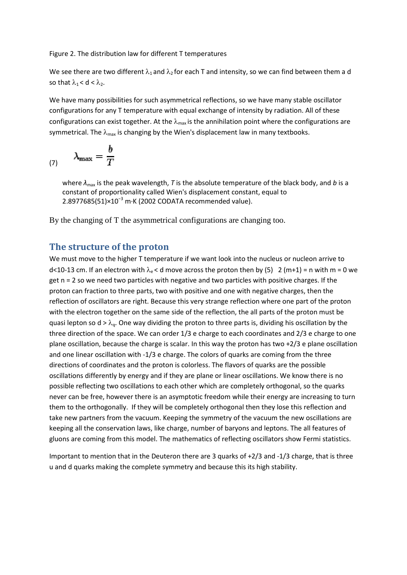Figure 2. The distribution law for different T temperatures

We see there are two different  $\lambda_1$  and  $\lambda_2$  for each T and intensity, so we can find between them a d so that  $\lambda_1 < d < \lambda_2$ .

We have many possibilities for such asymmetrical reflections, so we have many stable oscillator configurations for any T temperature with equal exchange of intensity by radiation. All of these configurations can exist together. At the  $\lambda_{\text{max}}$  is the annihilation point where the configurations are symmetrical. The  $\lambda_{\text{max}}$  is changing by the Wien's displacement law in many textbooks.

$$
\lambda_{\max} = \frac{b}{T}
$$

where  $\lambda_{\text{max}}$  is the peak wavelength, *T* is the absolute temperature of the black body, and *b* is a constant of proportionality called Wien's displacement constant, equal to 2.8977685(51)×10<sup>-3</sup> m·K (2002 CODATA recommended value).

By the changing of T the asymmetrical configurations are changing too.

#### **The structure of the proton**

We must move to the higher T temperature if we want look into the nucleus or nucleon arrive to d<10-13 cm. If an electron with  $\lambda_e$  < d move across the proton then by (5) 2 (m+1) = n with m = 0 we get n = 2 so we need two particles with negative and two particles with positive charges. If the proton can fraction to three parts, two with positive and one with negative charges, then the reflection of oscillators are right. Because this very strange reflection where one part of the proton with the electron together on the same side of the reflection, the all parts of the proton must be quasi lepton so  $d > \lambda_q$ . One way dividing the proton to three parts is, dividing his oscillation by the three direction of the space. We can order 1/3 e charge to each coordinates and 2/3 e charge to one plane oscillation, because the charge is scalar. In this way the proton has two +2/3 e plane oscillation and one linear oscillation with -1/3 e charge. The colors of quarks are coming from the three directions of coordinates and the proton is colorless. The flavors of quarks are the possible oscillations differently by energy and if they are plane or linear oscillations. We know there is no possible reflecting two oscillations to each other which are completely orthogonal, so the quarks never can be free, however there is an asymptotic freedom while their energy are increasing to turn them to the orthogonally. If they will be completely orthogonal then they lose this reflection and take new partners from the vacuum. Keeping the symmetry of the vacuum the new oscillations are keeping all the conservation laws, like charge, number of baryons and leptons. The all features of gluons are coming from this model. The mathematics of reflecting oscillators show Fermi statistics.

Important to mention that in the Deuteron there are 3 quarks of +2/3 and -1/3 charge, that is three u and d quarks making the complete symmetry and because this its high stability.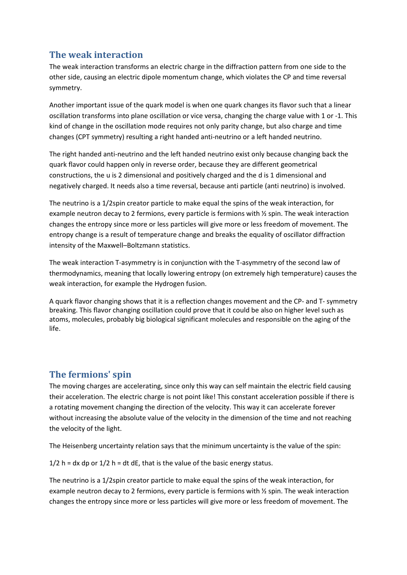## **The weak interaction**

The weak interaction transforms an electric charge in the diffraction pattern from one side to the other side, causing an electric dipole momentum change, which violates the CP and time reversal symmetry.

Another important issue of the quark model is when one quark changes its flavor such that a linear oscillation transforms into plane oscillation or vice versa, changing the charge value with 1 or -1. This kind of change in the oscillation mode requires not only parity change, but also charge and time changes (CPT symmetry) resulting a right handed anti-neutrino or a left handed neutrino.

The right handed anti-neutrino and the left handed neutrino exist only because changing back the quark flavor could happen only in reverse order, because they are different geometrical constructions, the u is 2 dimensional and positively charged and the d is 1 dimensional and negatively charged. It needs also a time reversal, because anti particle (anti neutrino) is involved.

The neutrino is a 1/2spin creator particle to make equal the spins of the weak interaction, for example neutron decay to 2 fermions, every particle is fermions with ½ spin. The weak interaction changes the entropy since more or less particles will give more or less freedom of movement. The entropy change is a result of temperature change and breaks the equality of oscillator diffraction intensity of the Maxwell–Boltzmann statistics.

The weak interaction T-asymmetry is in conjunction with the T-asymmetry of the second law of thermodynamics, meaning that locally lowering entropy (on extremely high temperature) causes the weak interaction, for example the Hydrogen fusion.

A quark flavor changing shows that it is a reflection changes movement and the CP- and T- symmetry breaking. This flavor changing oscillation could prove that it could be also on higher level such as atoms, molecules, probably big biological significant molecules and responsible on the aging of the life.

# **The fermions' spin**

The moving charges are accelerating, since only this way can self maintain the electric field causing their acceleration. The electric charge is not point like! This constant acceleration possible if there is a rotating movement changing the direction of the velocity. This way it can accelerate forever without increasing the absolute value of the velocity in the dimension of the time and not reaching the velocity of the light.

The Heisenberg uncertainty relation says that the minimum uncertainty is the value of the spin:

 $1/2$  h = dx dp or  $1/2$  h = dt dE, that is the value of the basic energy status.

The neutrino is a 1/2spin creator particle to make equal the spins of the weak interaction, for example neutron decay to 2 fermions, every particle is fermions with ½ spin. The weak interaction changes the entropy since more or less particles will give more or less freedom of movement. The